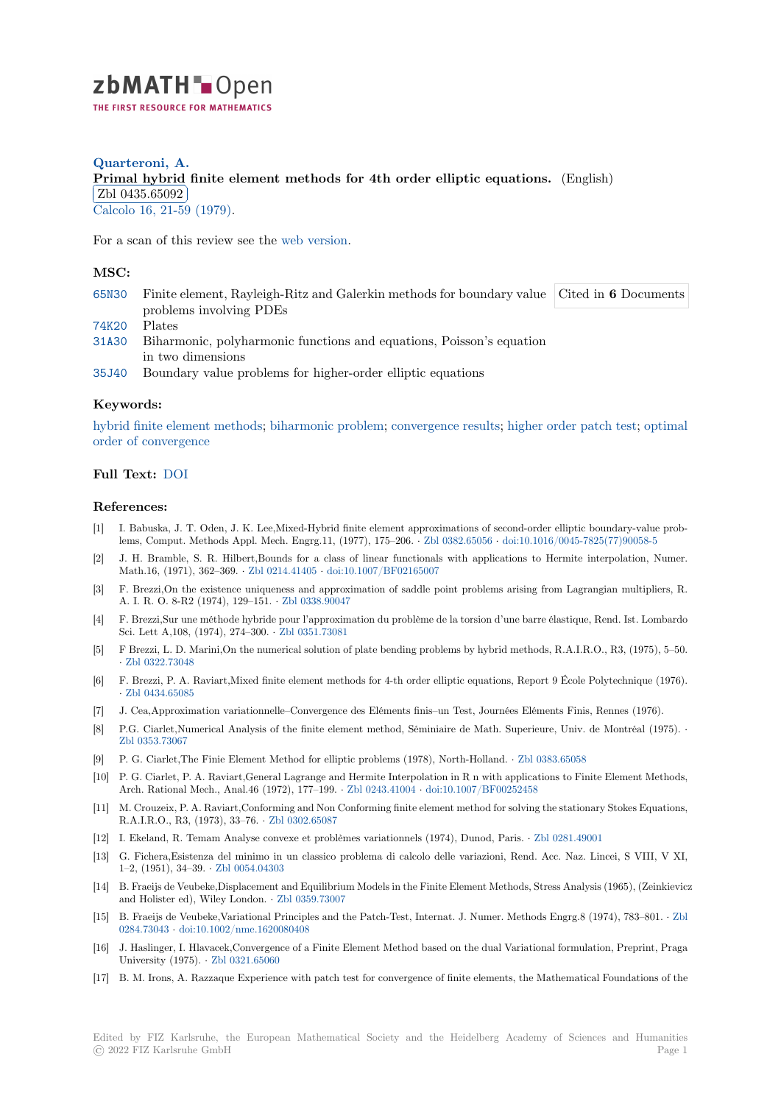

# **Quarteroni, A. [P](https://zbmath.org/)rimal hybrid finite element methods for 4th order elliptic equations.** (English)  $\frac{\text{Zb1 0400.00002}}{\text{Calcolo }16, 21-59}$  (1979). Zbl 0435.65092

[For a scan of this review see the](https://zbmath.org/0435.65092) web version.

## **[MSC:](https://zbmath.org/journals/?q=se:381)**

65N30 Finite element, Rayleigh[-Ritz and Ga](https://zbmath.org/0435.65092)lerkin methods for boundary value problems involving PDEs Cited in **6** Documents

74K20 Plates

- 31A30 Biharmonic, polyharmonic functions and equations, Poisson's equation in two dimensions
- [35J40](https://zbmath.org/classification/?q=cc:65N30) Boundary value problems for higher-order elliptic equations

### **[Keyw](https://zbmath.org/classification/?q=cc:31A30)ords:**

hybrid finite element methods; biharmonic problem; convergence results; higher order patch test; optimal [order o](https://zbmath.org/classification/?q=cc:35J40)f convergence

#### **Full Text:** DOI

#### **[References:](https://zbmath.org/?q=ut:optimal+order+of+convergence)**

- [1] I. Babuska, J. T. Oden, J. K. Lee,Mixed-Hybrid finite element approximations of second-order elliptic boundary-value problems, Co[mput.](https://dx.doi.org/10.1007/BF02575760) Methods Appl. Mech. Engrg.11, (1977), 175–206. *·* Zbl 0382.65056 *·* doi:10.1016/0045-7825(77)90058-5
- [2] J. H. Bramble, S. R. Hilbert,Bounds for a class of linear functionals with applications to Hermite interpolation, Numer. Math.16, (1971), 362–369. *·* Zbl 0214.41405 *·* doi:10.1007/BF02165007
- [3] F. Brezzi,On the existence uniqueness and approximation of saddle point problems arising from Lagrangian multipliers, R. A. I. R. O. 8-R2 (1974), 129–151. *·* Zbl 0338.90047
- [4] F. Brezzi,Sur une méthode hybride pour l'approximation du problème de la torsion d'une barre élastique, Rend. Ist. Lombardo Sci. Lett A,108, (1974), 274–300. *·* [Zbl 0351](https://zbmath.org/0214.41405).[73081](https://dx.doi.org/10.1007/BF02165007)
- [5] F Brezzi, L. D. Marini,On the numerical solution of plate bending problems by hybrid methods, R.A.I.R.O., R3, (1975), 5–50. *·* Zbl 0322.73048
- [6] F. Brezzi, P. A. Raviart,Mixed finite element methods for 4-th order elliptic equations, Report 9 École Polytechnique (1976). *·* Zbl 0434.65085
- [7] J. Cea,Approximation variationnelle–Convergence des Eléments finis–un Test, Journées Eléments Finis, Rennes (1976).
- [8] [P.G. Ciarlet,Num](https://zbmath.org/0322.73048)erical Analysis of the finite element method, Séminiaire de Math. Superieure, Univ. de Montréal (1975). *·* Zbl 0353.73067
- [9] [P. G. Ciarlet,The](https://zbmath.org/0434.65085) Finie Element Method for elliptic problems (1978), North-Holland. *·* Zbl 0383.65058
- [10] P. G. Ciarlet, P. A. Raviart,General Lagrange and Hermite Interpolation in R n with applications to Finite Element Methods, Arch. Rational Mech., Anal.46 (1972), 177–199. *·* Zbl 0243.41004 *·* doi:10.1007/BF00252458
- [11] [M. Crouzeix, P.](https://zbmath.org/0353.73067) A. Raviart,Conforming and Non Conforming finite element method for solving the stationary Stokes Equations, R.A.I.R.O., R3, (1973), 33–76. *·* Zbl 0302.65087
- [12] I. Ekeland, R. Temam Analyse convexe et problèmes variationnels (1974), Dunod, Paris. *·* Zbl 0281.49001
- [13] G. Fichera,Esistenza del minimo in un classicop[roblema di calc](https://zbmath.org/0243.41004)ol[o delle variazioni, Rend.](https://dx.doi.org/10.1007/BF00252458) Acc. Naz. Lincei, S VIII, V XI, 1–2, (1951), 34–39. *·* Zbl 0054.04303
- [14] B. Fraeijs de Veubeke,Displacem[ent and Equilibr](https://zbmath.org/0302.65087)ium Models in the Finite Element Methods, Stress Analysis (1965), (Zeinkievicz and Holister ed), Wiley London. *·* Zbl 0359.73007
- [15] B. Fraeijs de Veubeke,Variational Principles and the Patch-Test, Internat. J. Numer. Methods Engrg.8 (1974), 783–801. *·* Zbl 0284.73043 *·* doi:10.1[002/nme.162008](https://zbmath.org/0054.04303)0408
- [16] J. Haslinger, I. Hlavacek,Convergence of a Finite Element Method based on the dual Variational formulation, Preprint, Praga University (1975). *·* Zbl 0321.6506[0](https://zbmath.org/0359.73007)
- [17] B. M. Irons, A. Razzaque Experience with patch test for convergence of finite elements, the Mathematical Foundations of [the](https://zbmath.org/0284.73043)